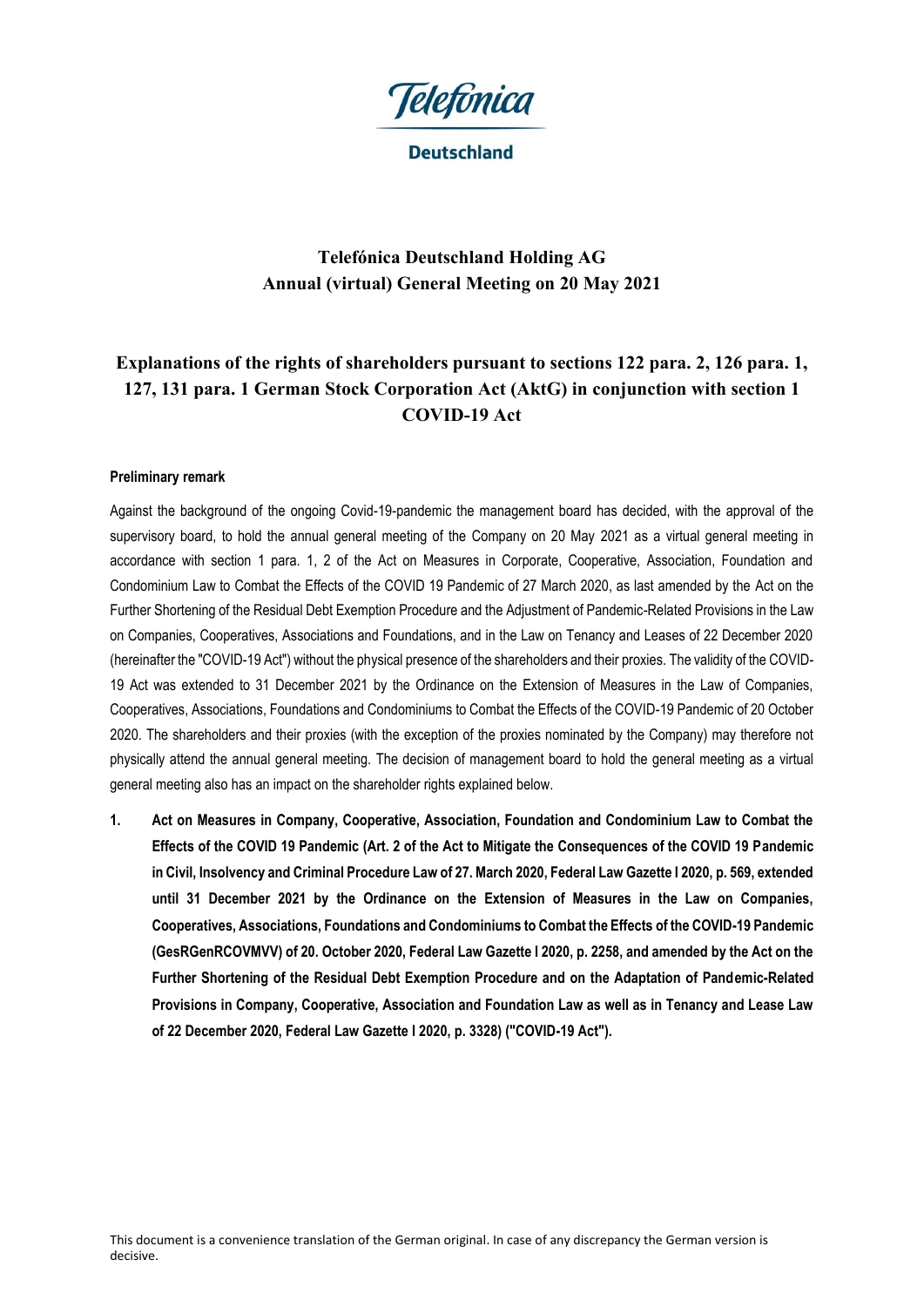

**Deutschland** 

# **Telefónica Deutschland Holding AG Annual (virtual) General Meeting on 20 May 2021**

# **Explanations of the rights of shareholders pursuant to sections 122 para. 2, 126 para. 1, 127, 131 para. 1 German Stock Corporation Act (AktG) in conjunction with section 1 COVID-19 Act**

#### **Preliminary remark**

Against the background of the ongoing Covid-19-pandemic the management board has decided, with the approval of the supervisory board, to hold the annual general meeting of the Company on 20 May 2021 as a virtual general meeting in accordance with section 1 para. 1, 2 of the Act on Measures in Corporate, Cooperative, Association, Foundation and Condominium Law to Combat the Effects of the COVID 19 Pandemic of 27 March 2020, as last amended by the Act on the Further Shortening of the Residual Debt Exemption Procedure and the Adjustment of Pandemic-Related Provisions in the Law on Companies, Cooperatives, Associations and Foundations, and in the Law on Tenancy and Leases of 22 December 2020 (hereinafter the "COVID-19 Act") without the physical presence of the shareholders and their proxies. The validity of the COVID-19 Act was extended to 31 December 2021 by the Ordinance on the Extension of Measures in the Law of Companies, Cooperatives, Associations, Foundations and Condominiums to Combat the Effects of the COVID-19 Pandemic of 20 October 2020. The shareholders and their proxies (with the exception of the proxies nominated by the Company) may therefore not physically attend the annual general meeting. The decision of management board to hold the general meeting as a virtual general meeting also has an impact on the shareholder rights explained below.

**1. Act on Measures in Company, Cooperative, Association, Foundation and Condominium Law to Combat the Effects of the COVID 19 Pandemic (Art. 2 of the Act to Mitigate the Consequences of the COVID 19 Pandemic in Civil, Insolvency and Criminal Procedure Law of 27. March 2020, Federal Law Gazette I 2020, p. 569, extended until 31 December 2021 by the Ordinance on the Extension of Measures in the Law on Companies, Cooperatives, Associations, Foundations and Condominiums to Combat the Effects of the COVID-19 Pandemic (GesRGenRCOVMVV) of 20. October 2020, Federal Law Gazette I 2020, p. 2258, and amended by the Act on the Further Shortening of the Residual Debt Exemption Procedure and on the Adaptation of Pandemic-Related Provisions in Company, Cooperative, Association and Foundation Law as well as in Tenancy and Lease Law of 22 December 2020, Federal Law Gazette I 2020, p. 3328) ("COVID-19 Act").**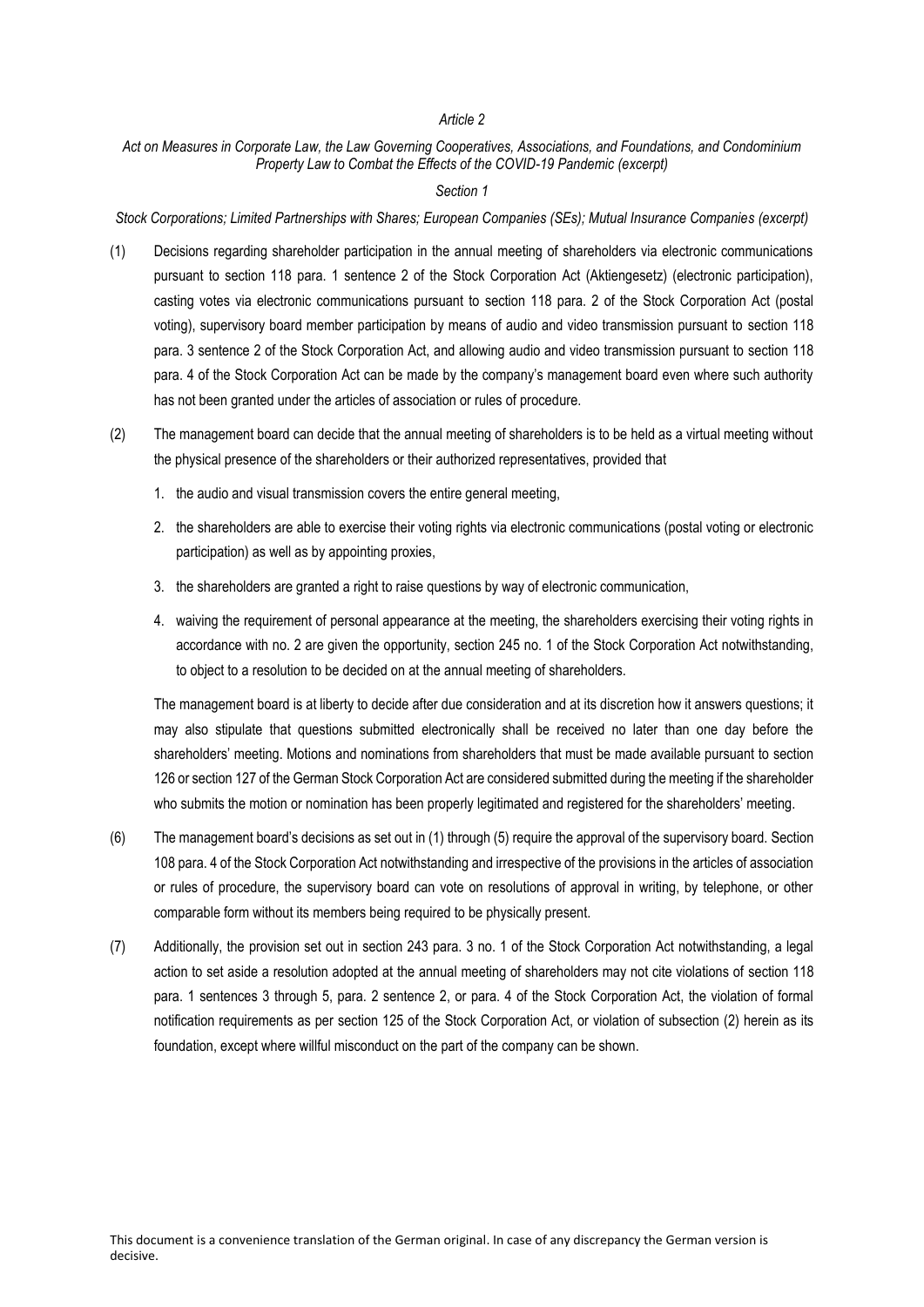#### *Article 2*

#### *Act on Measures in Corporate Law, the Law Governing Cooperatives, Associations, and Foundations, and Condominium Property Law to Combat the Effects of the COVID-19 Pandemic (excerpt)*

#### *Section 1*

*Stock Corporations; Limited Partnerships with Shares; European Companies (SEs); Mutual Insurance Companies (excerpt)*

- (1) Decisions regarding shareholder participation in the annual meeting of shareholders via electronic communications pursuant to section 118 para. 1 sentence 2 of the Stock Corporation Act (Aktiengesetz) (electronic participation), casting votes via electronic communications pursuant to section 118 para. 2 of the Stock Corporation Act (postal voting), supervisory board member participation by means of audio and video transmission pursuant to section 118 para. 3 sentence 2 of the Stock Corporation Act, and allowing audio and video transmission pursuant to section 118 para. 4 of the Stock Corporation Act can be made by the company's management board even where such authority has not been granted under the articles of association or rules of procedure.
- (2) The management board can decide that the annual meeting of shareholders is to be held as a virtual meeting without the physical presence of the shareholders or their authorized representatives, provided that
	- 1. the audio and visual transmission covers the entire general meeting,
	- 2. the shareholders are able to exercise their voting rights via electronic communications (postal voting or electronic participation) as well as by appointing proxies,
	- 3. the shareholders are granted a right to raise questions by way of electronic communication,
	- 4. waiving the requirement of personal appearance at the meeting, the shareholders exercising their voting rights in accordance with no. 2 are given the opportunity, section 245 no. 1 of the Stock Corporation Act notwithstanding, to object to a resolution to be decided on at the annual meeting of shareholders.

The management board is at liberty to decide after due consideration and at its discretion how it answers questions; it may also stipulate that questions submitted electronically shall be received no later than one day before the shareholders' meeting. Motions and nominations from shareholders that must be made available pursuant to section 126 or section 127 of the German Stock Corporation Act are considered submitted during the meeting if the shareholder who submits the motion or nomination has been properly legitimated and registered for the shareholders' meeting.

- (6) The management board's decisions as set out in (1) through (5) require the approval of the supervisory board. Section 108 para. 4 of the Stock Corporation Act notwithstanding and irrespective of the provisions in the articles of association or rules of procedure, the supervisory board can vote on resolutions of approval in writing, by telephone, or other comparable form without its members being required to be physically present.
- (7) Additionally, the provision set out in section 243 para. 3 no. 1 of the Stock Corporation Act notwithstanding, a legal action to set aside a resolution adopted at the annual meeting of shareholders may not cite violations of section 118 para. 1 sentences 3 through 5, para. 2 sentence 2, or para. 4 of the Stock Corporation Act, the violation of formal notification requirements as per section 125 of the Stock Corporation Act, or violation of subsection (2) herein as its foundation, except where willful misconduct on the part of the company can be shown.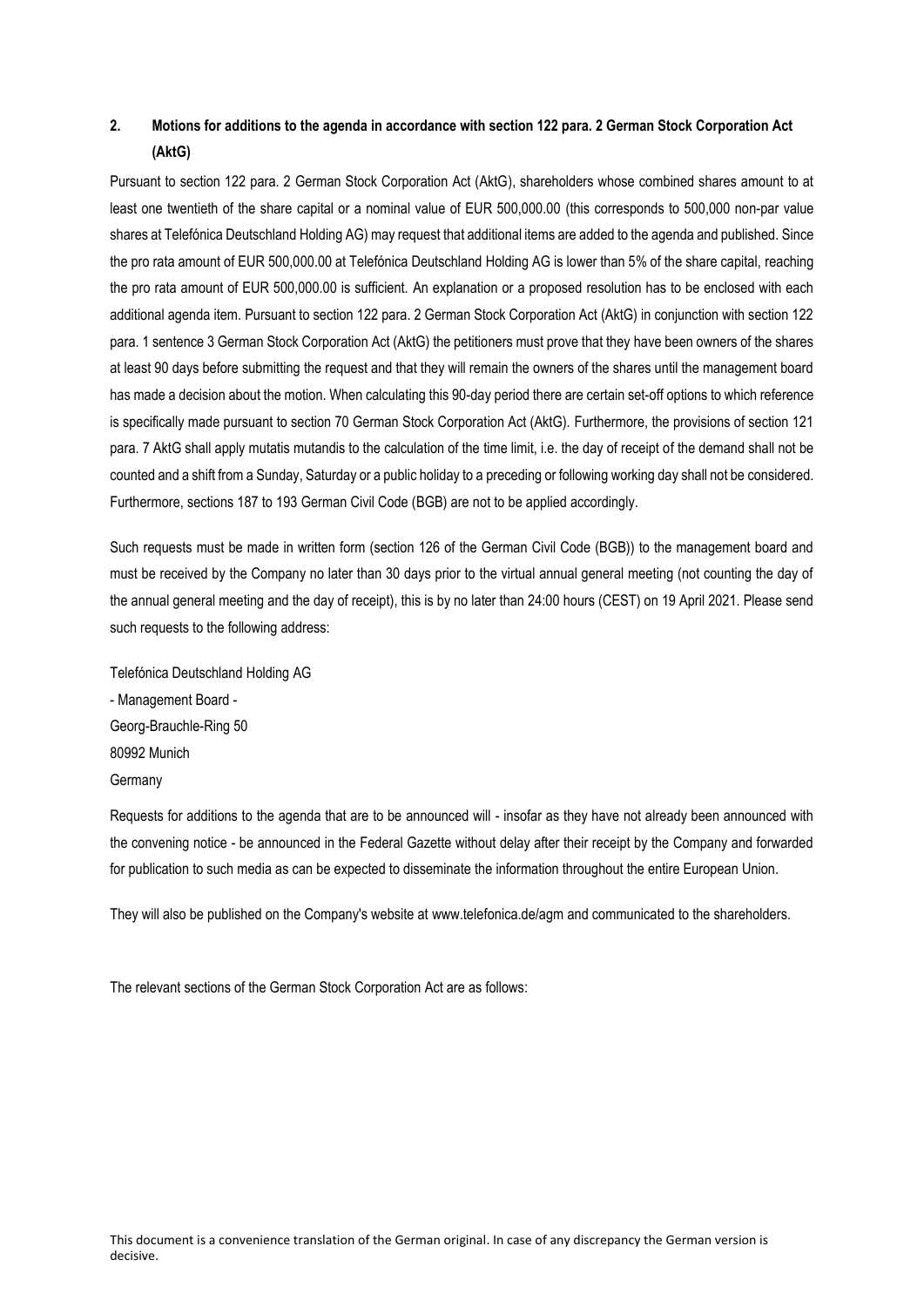## **2. Motions for additions to the agenda in accordance with section 122 para. 2 German Stock Corporation Act (AktG)**

Pursuant to section 122 para. 2 German Stock Corporation Act (AktG), shareholders whose combined shares amount to at least one twentieth of the share capital or a nominal value of EUR 500,000.00 (this corresponds to 500,000 non-par value shares at Telefónica Deutschland Holding AG) may request that additional items are added to the agenda and published. Since the pro rata amount of EUR 500,000.00 at Telefónica Deutschland Holding AG is lower than 5% of the share capital, reaching the pro rata amount of EUR 500,000.00 is sufficient. An explanation or a proposed resolution has to be enclosed with each additional agenda item. Pursuant to section 122 para. 2 German Stock Corporation Act (AktG) in conjunction with section 122 para. 1 sentence 3 German Stock Corporation Act (AktG) the petitioners must prove that they have been owners of the shares at least 90 days before submitting the request and that they will remain the owners of the shares until the management board has made a decision about the motion. When calculating this 90-day period there are certain set-off options to which reference is specifically made pursuant to section 70 German Stock Corporation Act (AktG). Furthermore, the provisions of section 121 para. 7 AktG shall apply mutatis mutandis to the calculation of the time limit, i.e. the day of receipt of the demand shall not be counted and a shift from a Sunday, Saturday or a public holiday to a preceding or following working day shall not be considered. Furthermore, sections 187 to 193 German Civil Code (BGB) are not to be applied accordingly.

Such requests must be made in written form (section 126 of the German Civil Code (BGB)) to the management board and must be received by the Company no later than 30 days prior to the virtual annual general meeting (not counting the day of the annual general meeting and the day of receipt), this is by no later than 24:00 hours (CEST) on 19 April 2021. Please send such requests to the following address:

Telefónica Deutschland Holding AG - Management Board - Georg-Brauchle-Ring 50 80992 Munich **Germany** 

Requests for additions to the agenda that are to be announced will - insofar as they have not already been announced with the convening notice - be announced in the Federal Gazette without delay after their receipt by the Company and forwarded for publication to such media as can be expected to disseminate the information throughout the entire European Union.

They will also be published on the Company's website at www.telefonica.de/agm and communicated to the shareholders.

The relevant sections of the German Stock Corporation Act are as follows: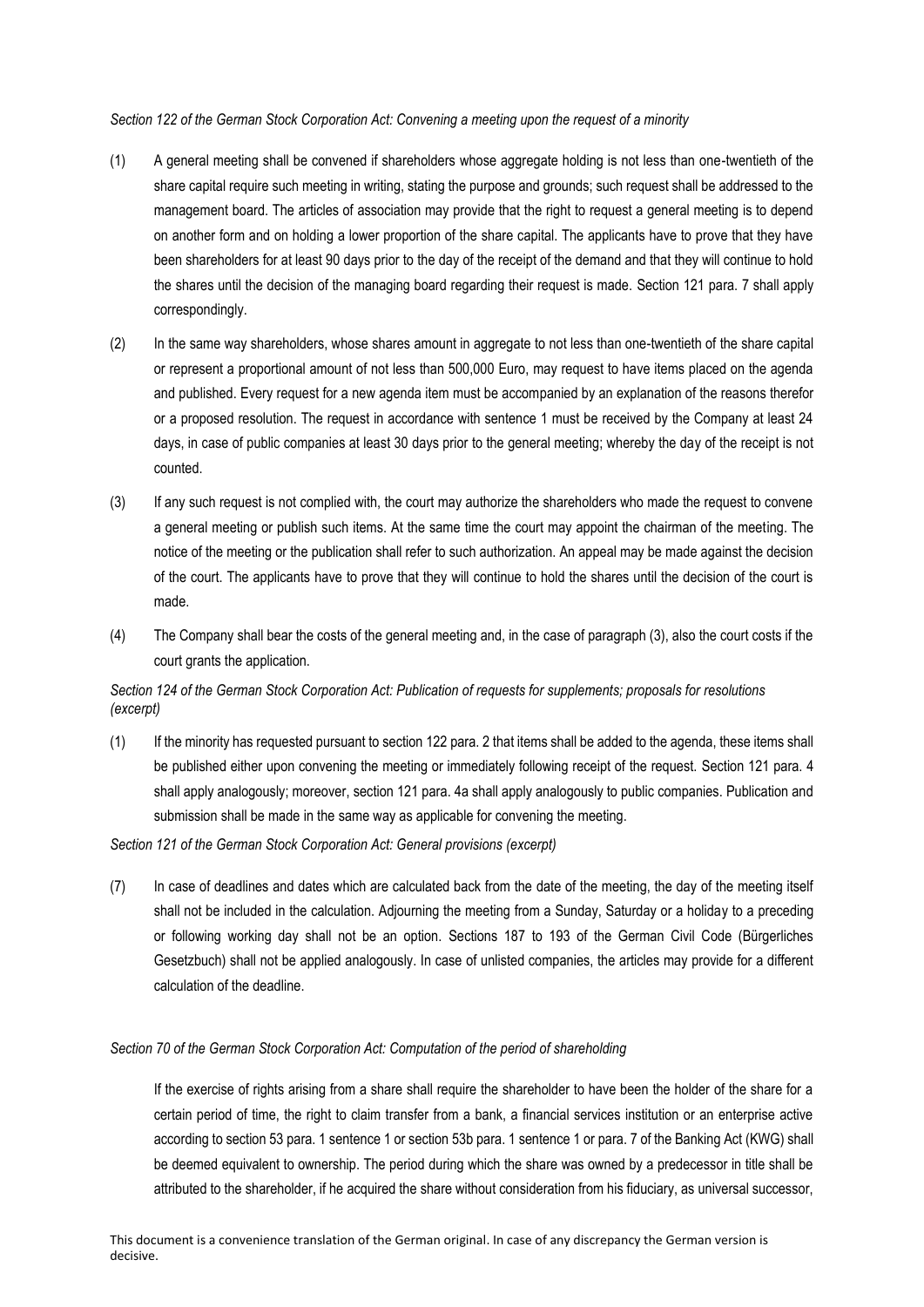#### *Section 122 of the German Stock Corporation Act: Convening a meeting upon the request of a minority*

- (1) A general meeting shall be convened if shareholders whose aggregate holding is not less than one-twentieth of the share capital require such meeting in writing, stating the purpose and grounds; such request shall be addressed to the management board. The articles of association may provide that the right to request a general meeting is to depend on another form and on holding a lower proportion of the share capital. The applicants have to prove that they have been shareholders for at least 90 days prior to the day of the receipt of the demand and that they will continue to hold the shares until the decision of the managing board regarding their request is made. Section 121 para. 7 shall apply correspondingly.
- (2) In the same way shareholders, whose shares amount in aggregate to not less than one-twentieth of the share capital or represent a proportional amount of not less than 500,000 Euro, may request to have items placed on the agenda and published. Every request for a new agenda item must be accompanied by an explanation of the reasons therefor or a proposed resolution. The request in accordance with sentence 1 must be received by the Company at least 24 days, in case of public companies at least 30 days prior to the general meeting; whereby the day of the receipt is not counted.
- (3) If any such request is not complied with, the court may authorize the shareholders who made the request to convene a general meeting or publish such items. At the same time the court may appoint the chairman of the meeting. The notice of the meeting or the publication shall refer to such authorization. An appeal may be made against the decision of the court. The applicants have to prove that they will continue to hold the shares until the decision of the court is made.
- (4) The Company shall bear the costs of the general meeting and, in the case of paragraph (3), also the court costs if the court grants the application.

#### *Section 124 of the German Stock Corporation Act: Publication of requests for supplements; proposals for resolutions (excerpt)*

(1) If the minority has requested pursuant to section 122 para. 2 that items shall be added to the agenda, these items shall be published either upon convening the meeting or immediately following receipt of the request. Section 121 para. 4 shall apply analogously; moreover, section 121 para. 4a shall apply analogously to public companies. Publication and submission shall be made in the same way as applicable for convening the meeting.

*Section 121 of the German Stock Corporation Act: General provisions (excerpt)*

(7) In case of deadlines and dates which are calculated back from the date of the meeting, the day of the meeting itself shall not be included in the calculation. Adjourning the meeting from a Sunday, Saturday or a holiday to a preceding or following working day shall not be an option. Sections 187 to 193 of the German Civil Code (Bürgerliches Gesetzbuch) shall not be applied analogously. In case of unlisted companies, the articles may provide for a different calculation of the deadline.

#### *Section 70 of the German Stock Corporation Act: Computation of the period of shareholding*

If the exercise of rights arising from a share shall require the shareholder to have been the holder of the share for a certain period of time, the right to claim transfer from a bank, a financial services institution or an enterprise active according to section 53 para. 1 sentence 1 or section 53b para. 1 sentence 1 or para. 7 of the Banking Act (KWG) shall be deemed equivalent to ownership. The period during which the share was owned by a predecessor in title shall be attributed to the shareholder, if he acquired the share without consideration from his fiduciary, as universal successor,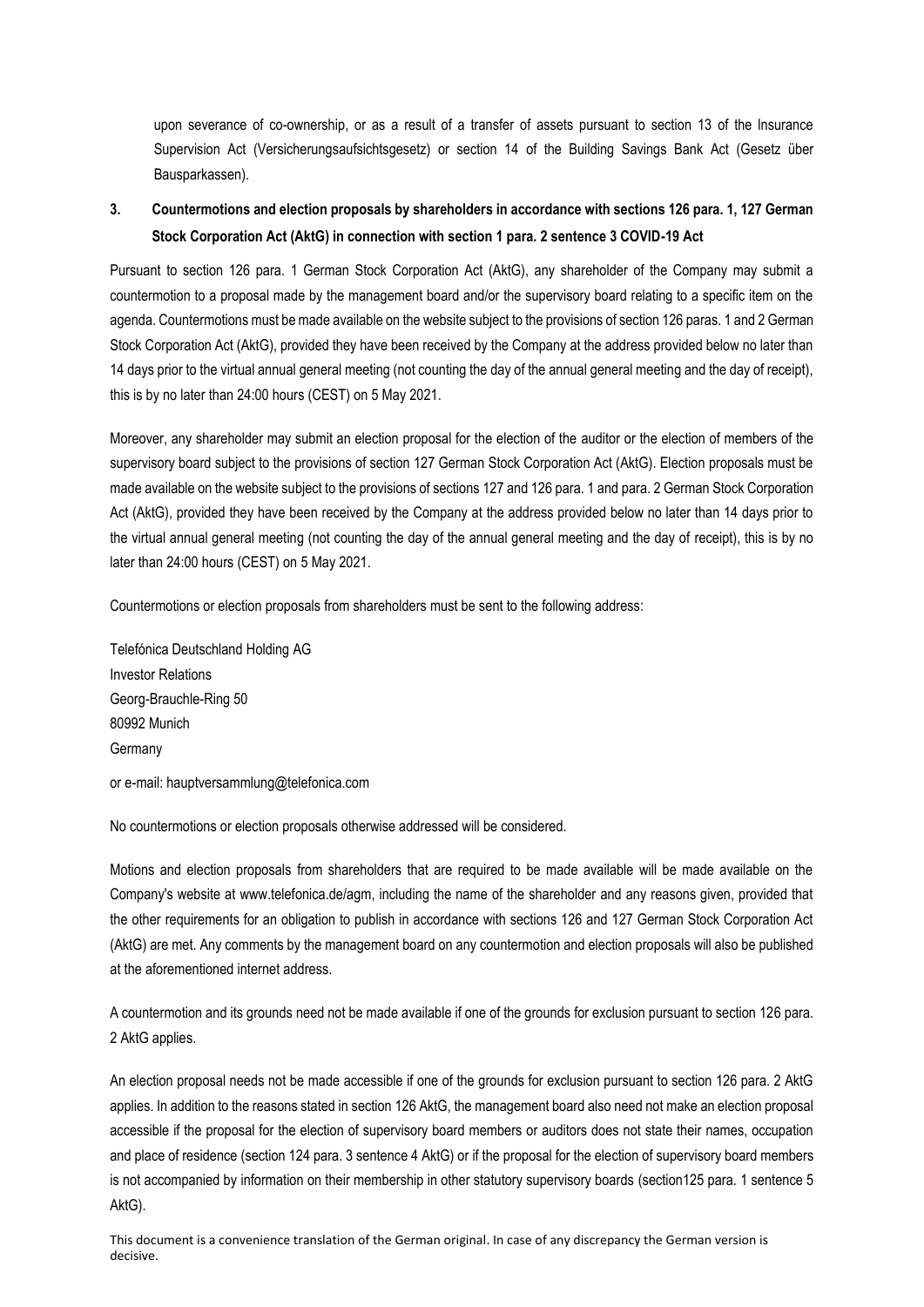upon severance of co-ownership, or as a result of a transfer of assets pursuant to section 13 of the lnsurance Supervision Act (Versicherungsaufsichtsgesetz) or section 14 of the Building Savings Bank Act (Gesetz über Bausparkassen).

### **3. Countermotions and election proposals by shareholders in accordance with sections 126 para. 1, 127 German Stock Corporation Act (AktG) in connection with section 1 para. 2 sentence 3 COVID-19 Act**

Pursuant to section 126 para. 1 German Stock Corporation Act (AktG), any shareholder of the Company may submit a countermotion to a proposal made by the management board and/or the supervisory board relating to a specific item on the agenda. Countermotions must be made available on the website subject to the provisions of section 126 paras. 1 and 2 German Stock Corporation Act (AktG), provided they have been received by the Company at the address provided below no later than 14 days prior to the virtual annual general meeting (not counting the day of the annual general meeting and the day of receipt), this is by no later than 24:00 hours (CEST) on 5 May 2021.

Moreover, any shareholder may submit an election proposal for the election of the auditor or the election of members of the supervisory board subject to the provisions of section 127 German Stock Corporation Act (AktG). Election proposals must be made available on the website subject to the provisions of sections 127 and 126 para. 1 and para. 2 German Stock Corporation Act (AktG), provided they have been received by the Company at the address provided below no later than 14 days prior to the virtual annual general meeting (not counting the day of the annual general meeting and the day of receipt), this is by no later than 24:00 hours (CEST) on 5 May 2021.

Countermotions or election proposals from shareholders must be sent to the following address:

Telefónica Deutschland Holding AG Investor Relations Georg-Brauchle-Ring 50 80992 Munich Germany

or e-mail: hauptversammlung@telefonica.com

No countermotions or election proposals otherwise addressed will be considered.

Motions and election proposals from shareholders that are required to be made available will be made available on the Company's website at www.telefonica.de/agm, including the name of the shareholder and any reasons given, provided that the other requirements for an obligation to publish in accordance with sections 126 and 127 German Stock Corporation Act (AktG) are met. Any comments by the management board on any countermotion and election proposals will also be published at the aforementioned internet address.

A countermotion and its grounds need not be made available if one of the grounds for exclusion pursuant to section 126 para. 2 AktG applies.

An election proposal needs not be made accessible if one of the grounds for exclusion pursuant to section 126 para. 2 AktG applies. In addition to the reasons stated in section 126 AktG, the management board also need not make an election proposal accessible if the proposal for the election of supervisory board members or auditors does not state their names, occupation and place of residence (section 124 para. 3 sentence 4 AktG) or if the proposal for the election of supervisory board members is not accompanied by information on their membership in other statutory supervisory boards (section125 para. 1 sentence 5 AktG).

This document is a convenience translation of the German original. In case of any discrepancy the German version is decisive.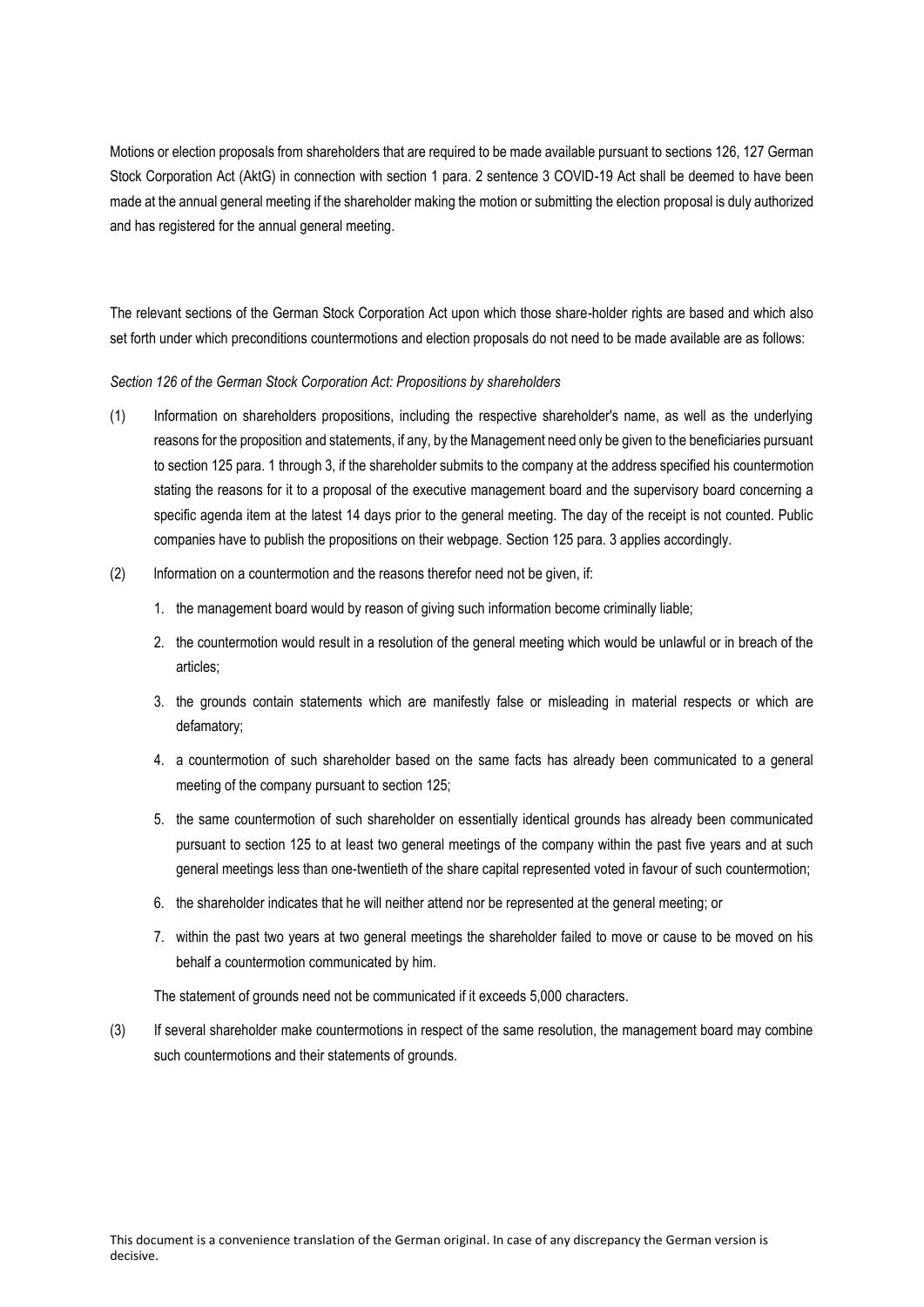Motions or election proposals from shareholders that are required to be made available pursuant to sections 126, 127 German Stock Corporation Act (AktG) in connection with section 1 para. 2 sentence 3 COVID-19 Act shall be deemed to have been made at the annual general meeting if the shareholder making the motion or submitting the election proposal is duly authorized and has registered for the annual general meeting.

The relevant sections of the German Stock Corporation Act upon which those share-holder rights are based and which also set forth under which preconditions countermotions and election proposals do not need to be made available are as follows:

*Section 126 of the German Stock Corporation Act: Propositions by shareholders*

- (1) Information on shareholders propositions, including the respective shareholder's name, as well as the underlying reasons for the proposition and statements, if any, by the Management need only be given to the beneficiaries pursuant to section 125 para. 1 through 3, if the shareholder submits to the company at the address specified his countermotion stating the reasons for it to a proposal of the executive management board and the supervisory board concerning a specific agenda item at the latest 14 days prior to the general meeting. The day of the receipt is not counted. Public companies have to publish the propositions on their webpage. Section 125 para. 3 applies accordingly.
- (2) lnformation on a countermotion and the reasons therefor need not be given, if:
	- 1. the management board would by reason of giving such information become criminally liable;
	- 2. the countermotion would result in a resolution of the general meeting which would be unlawful or in breach of the articles;
	- 3. the grounds contain statements which are manifestly false or misleading in material respects or which are defamatory;
	- 4. a countermotion of such shareholder based on the same facts has already been communicated to a general meeting of the company pursuant to section 125;
	- 5. the same countermotion of such shareholder on essentially identical grounds has already been communicated pursuant to section 125 to at Ieast two general meetings of the company within the past five years and at such general meetings less than one-twentieth of the share capital represented voted in favour of such countermotion;
	- 6. the shareholder indicates that he will neither attend nor be represented at the general meeting; or
	- 7. within the past two years at two general meetings the shareholder failed to move or cause to be moved on his behalf a countermotion communicated by him.

The statement of grounds need not be communicated if it exceeds 5,000 characters.

(3) If several shareholder make countermotions in respect of the same resolution, the management board may combine such countermotions and their statements of grounds.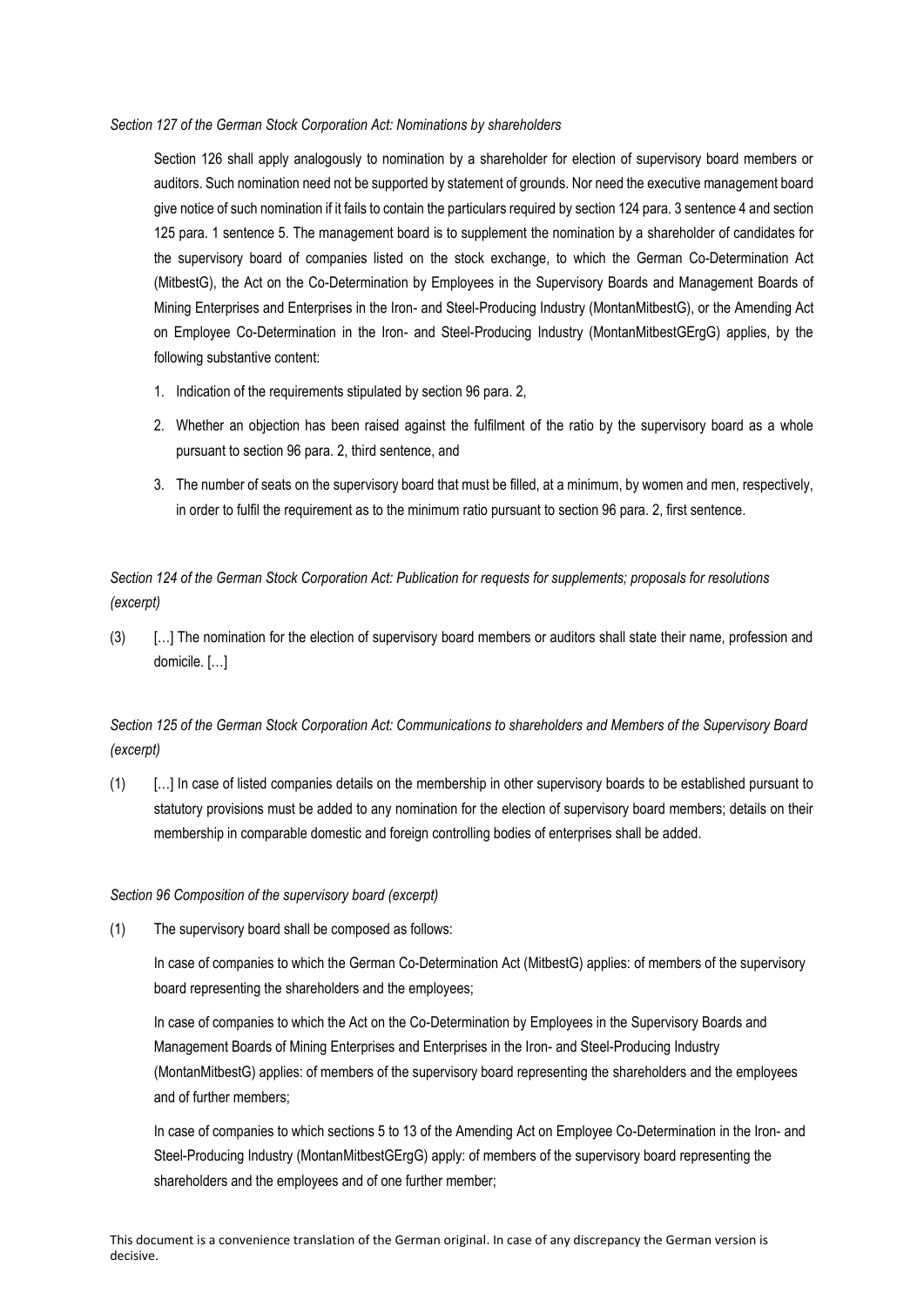#### *Section 127 of the German Stock Corporation Act: Nominations by shareholders*

Section 126 shall apply analogously to nomination by a shareholder for election of supervisory board members or auditors. Such nomination need not be supported by statement of grounds. Nor need the executive management board give notice of such nomination if it fails to contain the particulars required by section 124 para. 3 sentence 4 and section 125 para. 1 sentence 5. The management board is to supplement the nomination by a shareholder of candidates for the supervisory board of companies listed on the stock exchange, to which the German Co-Determination Act (MitbestG), the Act on the Co-Determination by Employees in the Supervisory Boards and Management Boards of Mining Enterprises and Enterprises in the Iron- and Steel-Producing Industry (MontanMitbestG), or the Amending Act on Employee Co-Determination in the Iron- and Steel-Producing Industry (MontanMitbestGErgG) applies, by the following substantive content:

- 1. Indication of the requirements stipulated by section 96 para. 2,
- 2. Whether an objection has been raised against the fulfilment of the ratio by the supervisory board as a whole pursuant to section 96 para. 2, third sentence, and
- 3. The number of seats on the supervisory board that must be filled, at a minimum, by women and men, respectively, in order to fulfil the requirement as to the minimum ratio pursuant to section 96 para. 2, first sentence.

*Section 124 of the German Stock Corporation Act: Publication for requests for supplements; proposals for resolutions (excerpt)*

(3) […] The nomination for the election of supervisory board members or auditors shall state their name, profession and domicile. […]

*Section 125 of the German Stock Corporation Act: Communications to shareholders and Members of the Supervisory Board (excerpt)*

(1) […] In case of listed companies details on the membership in other supervisory boards to be established pursuant to statutory provisions must be added to any nomination for the election of supervisory board members; details on their membership in comparable domestic and foreign controlling bodies of enterprises shall be added.

#### *Section 96 Composition of the supervisory board (excerpt)*

(1) The supervisory board shall be composed as follows:

In case of companies to which the German Co-Determination Act (MitbestG) applies: of members of the supervisory board representing the shareholders and the employees;

In case of companies to which the Act on the Co-Determination by Employees in the Supervisory Boards and Management Boards of Mining Enterprises and Enterprises in the Iron- and Steel-Producing Industry (MontanMitbestG) applies: of members of the supervisory board representing the shareholders and the employees and of further members;

In case of companies to which sections 5 to 13 of the Amending Act on Employee Co-Determination in the Iron- and Steel-Producing Industry (MontanMitbestGErgG) apply: of members of the supervisory board representing the shareholders and the employees and of one further member;